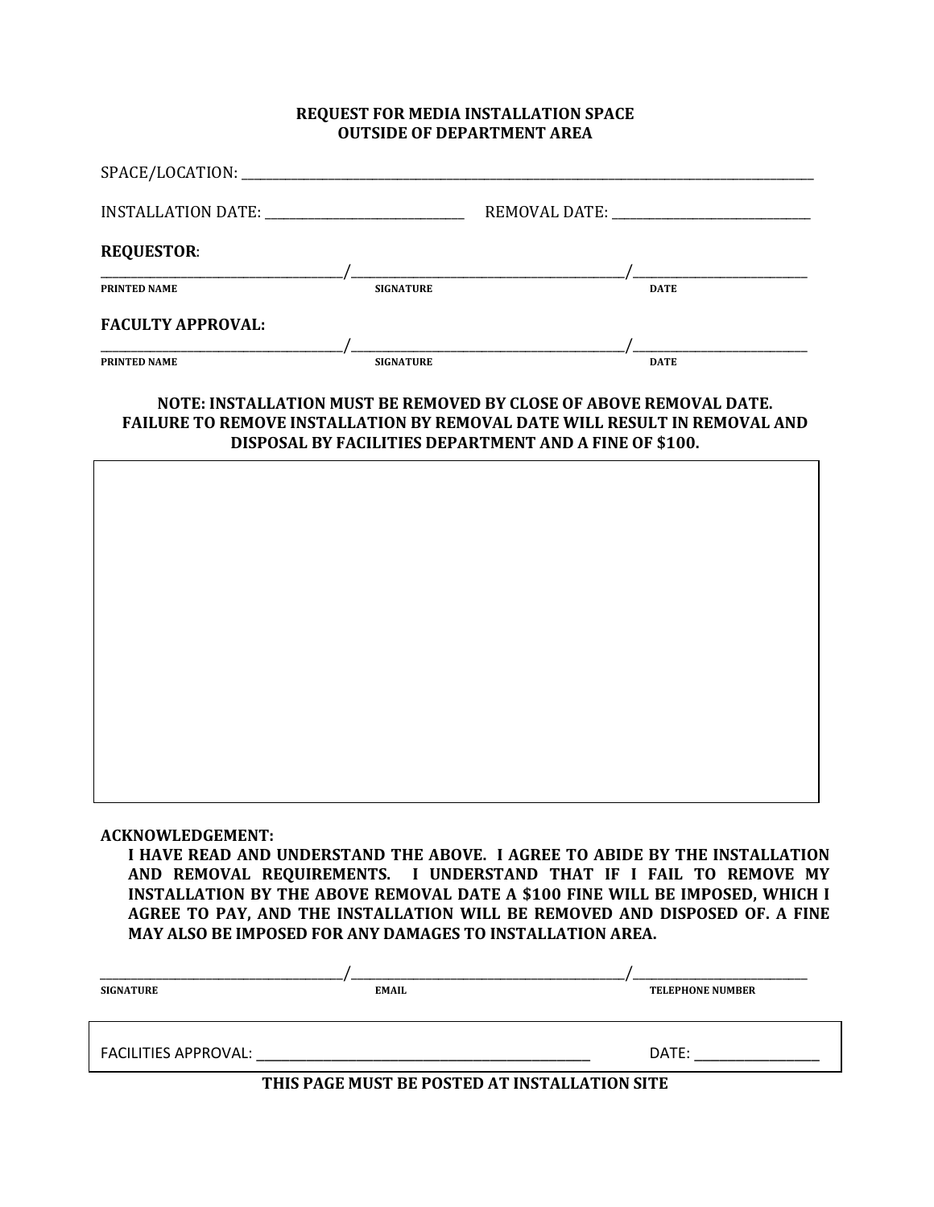#### **REQUEST FOR MEDIA INSTALLATION SPACE OUTSIDE OF DEPARTMENT AREA**

| INSTALLATION DATE:       |                  | REMOVAL DATE: |             |
|--------------------------|------------------|---------------|-------------|
| <b>REQUESTOR:</b>        |                  |               |             |
| <b>PRINTED NAME</b>      | <b>SIGNATURE</b> |               | <b>DATE</b> |
| <b>FACULTY APPROVAL:</b> |                  |               |             |
| <b>PRINTED NAME</b>      | <b>SIGNATURE</b> |               | <b>DATE</b> |

#### **NOTE: INSTALLATION MUST BE REMOVED BY CLOSE OF ABOVE REMOVAL DATE. FAILURE TO REMOVE INSTALLATION BY REMOVAL DATE WILL RESULT IN REMOVAL AND DISPOSAL BY FACILITIES DEPARTMENT AND A FINE OF \$100.**



#### **ACKNOWLEDGEMENT:**

**I HAVE READ AND UNDERSTAND THE ABOVE. I AGREE TO ABIDE BY THE INSTALLATION AND REMOVAL REQUIREMENTS. I UNDERSTAND THAT IF I FAIL TO REMOVE MY INSTALLATION BY THE ABOVE REMOVAL DATE A \$100 FINE WILL BE IMPOSED, WHICH I AGREE TO PAY, AND THE INSTALLATION WILL BE REMOVED AND DISPOSED OF. A FINE MAY ALSO BE IMPOSED FOR ANY DAMAGES TO INSTALLATION AREA.**

| <b>SIGNATURE</b>                              | EMAIL | <b>TELEPHONE NUMBER</b> |  |
|-----------------------------------------------|-------|-------------------------|--|
|                                               |       |                         |  |
|                                               |       |                         |  |
| FACILITIES APPROVAL:                          |       | DATE:                   |  |
| THIS PAGE MUST BE POSTED AT INSTALLATION SITE |       |                         |  |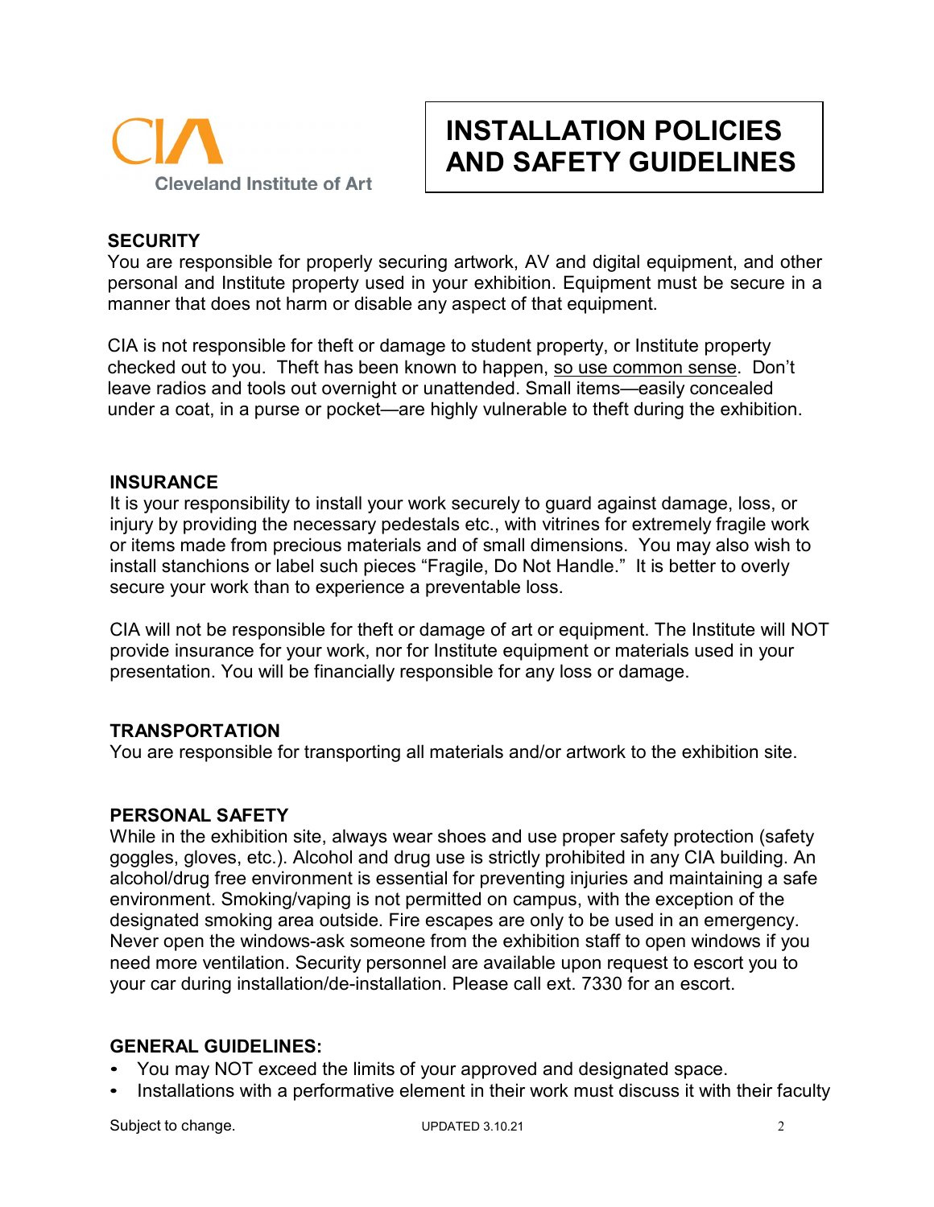

# **INSTALLATION POLICIES AND SAFETY GUIDELINES**

## **SECURITY**

You are responsible for properly securing artwork, AV and digital equipment, and other personal and Institute property used in your exhibition. Equipment must be secure in a manner that does not harm or disable any aspect of that equipment.

CIA is not responsible for theft or damage to student property, or Institute property checked out to you. Theft has been known to happen, so use common sense. Don't leave radios and tools out overnight or unattended. Small items—easily concealed under a coat, in a purse or pocket—are highly vulnerable to theft during the exhibition.

### **INSURANCE**

It is your responsibility to install your work securely to guard against damage, loss, or injury by providing the necessary pedestals etc., with vitrines for extremely fragile work or items made from precious materials and of small dimensions. You may also wish to install stanchions or label such pieces "Fragile, Do Not Handle." It is better to overly secure your work than to experience a preventable loss.

CIA will not be responsible for theft or damage of art or equipment. The Institute will NOT provide insurance for your work, nor for Institute equipment or materials used in your presentation. You will be financially responsible for any loss or damage.

## **TRANSPORTATION**

You are responsible for transporting all materials and/or artwork to the exhibition site.

## **PERSONAL SAFETY**

While in the exhibition site, always wear shoes and use proper safety protection (safety goggles, gloves, etc.). Alcohol and drug use is strictly prohibited in any CIA building. An alcohol/drug free environment is essential for preventing injuries and maintaining a safe environment. Smoking/vaping is not permitted on campus, with the exception of the designated smoking area outside. Fire escapes are only to be used in an emergency. Never open the windows-ask someone from the exhibition staff to open windows if you need more ventilation. Security personnel are available upon request to escort you to your car during installation/de-installation. Please call ext. 7330 for an escort.

## **GENERAL GUIDELINES:**

- You may NOT exceed the limits of your approved and designated space.
- Installations with a performative element in their work must discuss it with their faculty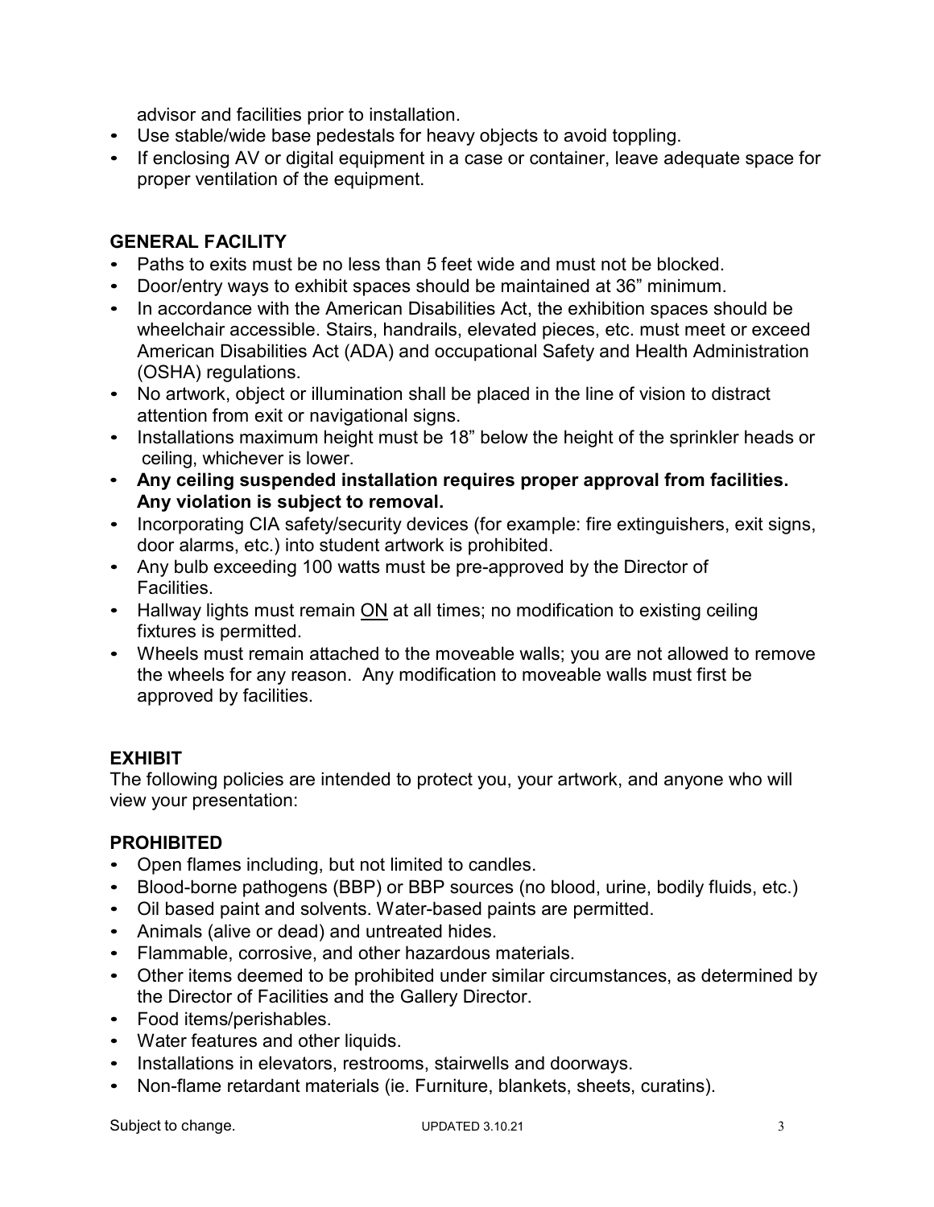advisor and facilities prior to installation.

- Use stable/wide base pedestals for heavy objects to avoid toppling.
- If enclosing AV or digital equipment in a case or container, leave adequate space for proper ventilation of the equipment.

# **GENERAL FACILITY**

- Paths to exits must be no less than 5 feet wide and must not be blocked.
- Door/entry ways to exhibit spaces should be maintained at 36" minimum.
- In accordance with the American Disabilities Act, the exhibition spaces should be wheelchair accessible. Stairs, handrails, elevated pieces, etc. must meet or exceed American Disabilities Act (ADA) and occupational Safety and Health Administration (OSHA) regulations.
- No artwork, object or illumination shall be placed in the line of vision to distract attention from exit or navigational signs.
- Installations maximum height must be 18" below the height of the sprinkler heads or ceiling, whichever is lower.
- **Any ceiling suspended installation requires proper approval from facilities. Any violation is subject to removal.**
- Incorporating CIA safety/security devices (for example: fire extinguishers, exit signs, door alarms, etc.) into student artwork is prohibited.
- Any bulb exceeding 100 watts must be pre-approved by the Director of Facilities.
- Hallway lights must remain ON at all times; no modification to existing ceiling fixtures is permitted.
- Wheels must remain attached to the moveable walls; you are not allowed to remove the wheels for any reason. Any modification to moveable walls must first be approved by facilities.

# **EXHIBIT**

The following policies are intended to protect you, your artwork, and anyone who will view your presentation:

# **PROHIBITED**

- Open flames including, but not limited to candles.
- Blood-borne pathogens (BBP) or BBP sources (no blood, urine, bodily fluids, etc.)
- Oil based paint and solvents. Water-based paints are permitted.
- Animals (alive or dead) and untreated hides.
- Flammable, corrosive, and other hazardous materials.
- Other items deemed to be prohibited under similar circumstances, as determined by the Director of Facilities and the Gallery Director.
- Food items/perishables.
- Water features and other liquids.
- Installations in elevators, restrooms, stairwells and doorways.
- Non-flame retardant materials (ie. Furniture, blankets, sheets, curatins).